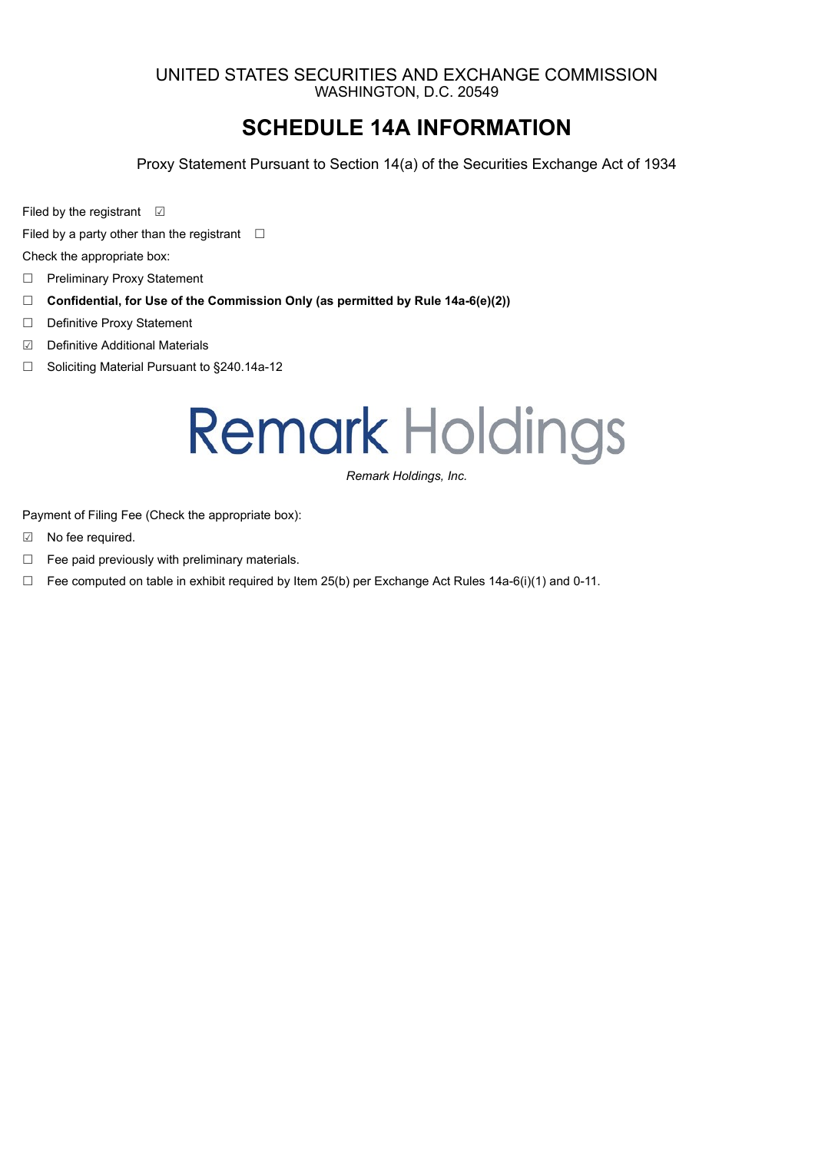### UNITED STATES SECURITIES AND EXCHANGE COMMISSION WASHINGTON, D.C. 20549

### **SCHEDULE 14A INFORMATION**

Proxy Statement Pursuant to Section 14(a) of the Securities Exchange Act of 1934

Filed by the registrant **☑** 

Filed by a party other than the registrant  $\Box$ 

Check the appropriate box:

- □ Preliminary Proxy Statement
- ☐ **Confidential, for Use of the Commission Only (as permitted by Rule 14a-6(e)(2))**
- ☐ Definitive Proxy Statement
- ☑ Definitive Additional Materials
- ☐ Soliciting Material Pursuant to §240.14a-12

## **Remark Holdings**

*Remark Holdings, Inc.*

Payment of Filing Fee (Check the appropriate box):

- ☑ No fee required.
- $\Box$  Fee paid previously with preliminary materials.
- □ Fee computed on table in exhibit required by Item 25(b) per Exchange Act Rules 14a-6(i)(1) and 0-11.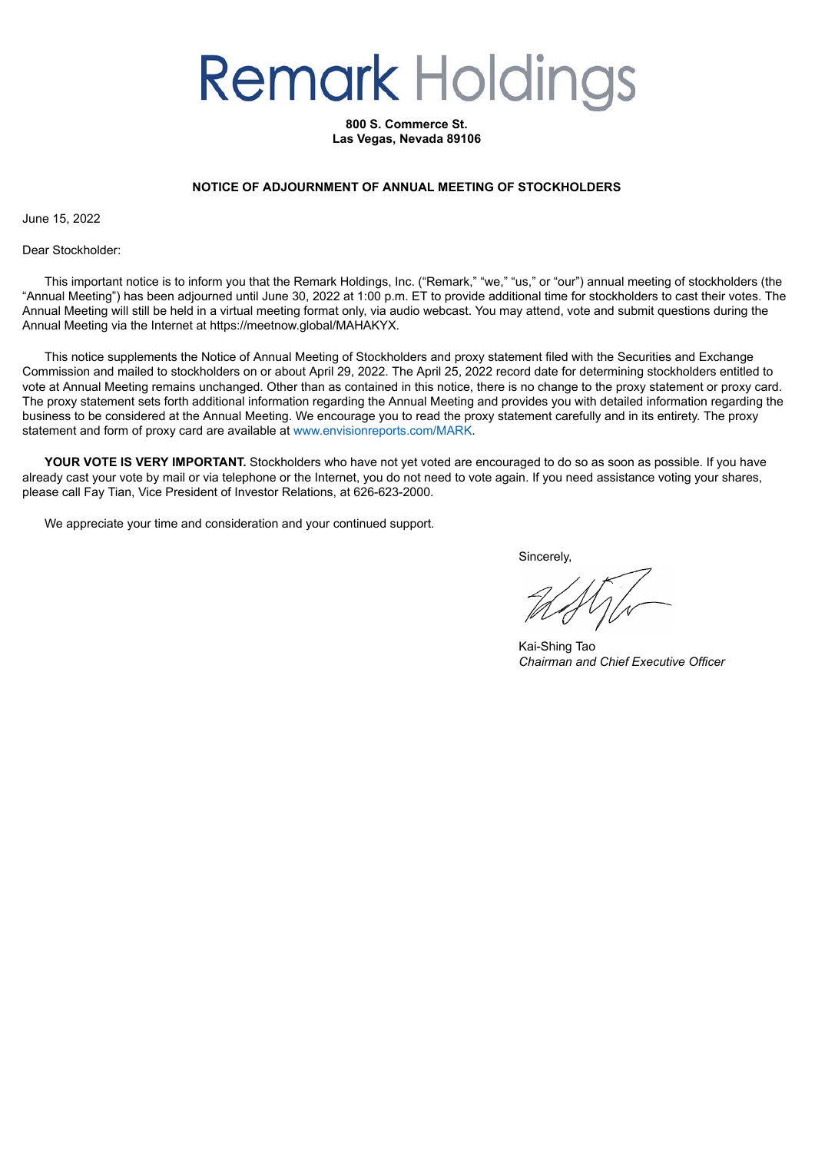# **Remark Holdings**

**800 S. Commerce St. Las Vegas, Nevada 89106**

#### **NOTICE OF ADJOURNMENT OF ANNUAL MEETING OF STOCKHOLDERS**

June 15, 2022

Dear Stockholder:

This important notice is to inform you that the Remark Holdings, Inc. ("Remark," "we," "us," or "our") annual meeting of stockholders (the "Annual Meeting") has been adjourned until June 30, 2022 at 1:00 p.m. ET to provide additional time for stockholders to cast their votes. The Annual Meeting will still be held in a virtual meeting format only, via audio webcast. You may attend, vote and submit questions during the Annual Meeting via the Internet at https://meetnow.global/MAHAKYX.

This notice supplements the Notice of Annual Meeting of Stockholders and proxy statement filed with the Securities and Exchange Commission and mailed to stockholders on or about April 29, 2022. The April 25, 2022 record date for determining stockholders entitled to vote at Annual Meeting remains unchanged. Other than as contained in this notice, there is no change to the proxy statement or proxy card. The proxy statement sets forth additional information regarding the Annual Meeting and provides you with detailed information regarding the business to be considered at the Annual Meeting. We encourage you to read the proxy statement carefully and in its entirety. The proxy statement and form of proxy card are available at www.envisionreports.com/MARK.

**YOUR VOTE IS VERY IMPORTANT.** Stockholders who have not yet voted are encouraged to do so as soon as possible. If you have already cast your vote by mail or via telephone or the Internet, you do not need to vote again. If you need assistance voting your shares, please call Fay Tian, Vice President of Investor Relations, at 626-623-2000.

We appreciate your time and consideration and your continued support.

Sincerely,

Kai-Shing Tao *Chairman and Chief Executive Officer*